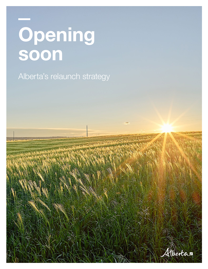# Opening soon

Alberta's relaunch strategy

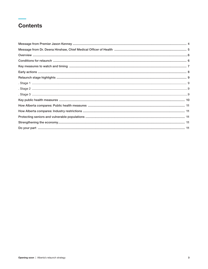## **Contents**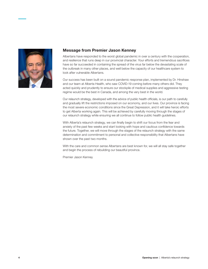

## Message from Premier Jason Kenney

Albertans have responded to the worst global pandemic in over a century with the cooperation, and resilience that runs deep in our provincial character. Your efforts and tremendous sacrifices have so far succeeded in containing the spread of the virus far below the devastating scale of the outbreak in many other places, and well below the capacity of our healthcare system to look after vulnerable Albertans.

Our success has been built on a sound pandemic response plan, implemented by Dr. Hinshaw and our team at Alberta Health, who saw COVID-19 coming before many others did. They acted quickly and prudently to ensure our stockpile of medical supplies and aggressive testing regime would be the best in Canada, and among the very best in the world.

Our relaunch strategy, developed with the advice of public health officials, is our path to carefully and gradually lift the restrictions imposed on our economy, and our lives. Our province is facing the most severe economic conditions since the Great Depression, and it will take heroic efforts to get Alberta working again. This will be achieved by carefully moving through the stages of our relaunch strategy while ensuring we all continue to follow public health guidelines.

With Alberta's relaunch strategy, we can finally begin to shift our focus from the fear and anxiety of the past few weeks and start looking with hope and cautious confidence towards the future. Together, we will move through the stages of the relaunch strategy with the same determination and commitment to personal and collective responsibility that Albertans have shown over the past two months.

With the care and common sense Albertans are best known for, we will all stay safe together and begin the process of rebuilding our beautiful province.

Premier Jason Kenney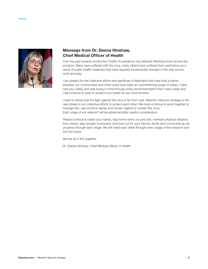

## Message from Dr. Deena Hinshaw, Chief Medical Officer of Health

Over the past several months the COVID-19 pandemic has affected Albertans from across the province. Many have suffered with the virus, many others have suffered from restrictions as a result of public health measures that have required fundamental changes in the way we live, work and play.

I am grateful for the collective efforts and sacrifices of Albertans that have built a barrier between our communities and what could have been an overwhelming surge of cases. I have had your safety and well-being in mind through every recommendation that I have made and I will continue to work to protect your health as we move forward.

I want to stress that the fight against this virus is far from over. Alberta's relaunch strategy is the next phase in our collective efforts to protect each other. We must continue to work together to manage risk, use common sense and remain vigilant to contain this virus. Each stage of our relaunch will be advanced after careful consideration.

Please continue to wash your hands, stay home when you are sick, maintain physical distance from others, stay socially connected, and look out for your friends, family and community as we progress through each stage. We will need each other through every stage of this relaunch and into the future.

We are all in this together.

Dr. Deena Hinshaw, Chief Medical Officer of Health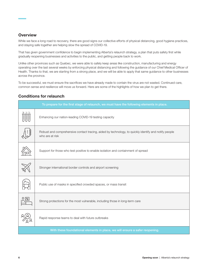## **Overview**

While we face a long road to recovery, there are good signs our collective efforts of physical distancing, good hygiene practices, and staying safe together are helping slow the spread of COVID-19.

That has given government confidence to begin implementing Alberta's relaunch strategy, a plan that puts safety first while gradually reopening businesses and activities to the public, and getting people back to work.

Unlike other provinces such as Quebec, we were able to safely keep areas like construction, manufacturing and energy operating over the last several weeks by enforcing physical distancing and following the guidance of our Chief Medical Officer of Health. Thanks to that, we are starting from a strong place, and we will be able to apply that same guidance to other businesses across the province.

To be successful, we must ensure the sacrifices we have already made to contain the virus are not wasted. Continued care, common sense and resilience will move us forward. Here are some of the highlights of how we plan to get there.

## Conditions for relaunch

| To prepare for the first stage of relaunch, we must have the following elements in place. |                                                                                                                         |  |  |  |
|-------------------------------------------------------------------------------------------|-------------------------------------------------------------------------------------------------------------------------|--|--|--|
|                                                                                           | Enhancing our nation-leading COVID-19 testing capacity                                                                  |  |  |  |
|                                                                                           | Robust and comprehensive contact tracing, aided by technology, to quickly identify and notify people<br>who are at risk |  |  |  |
|                                                                                           | Support for those who test positive to enable isolation and containment of spread                                       |  |  |  |
|                                                                                           | Stronger international border controls and airport screening                                                            |  |  |  |
|                                                                                           | Public use of masks in specified crowded spaces, or mass transit                                                        |  |  |  |
|                                                                                           | Strong protections for the most vulnerable, including those in long-term care                                           |  |  |  |
|                                                                                           | Rapid response teams to deal with future outbreaks                                                                      |  |  |  |
| With these foundational elements in place, we will ensure a safer reopening.              |                                                                                                                         |  |  |  |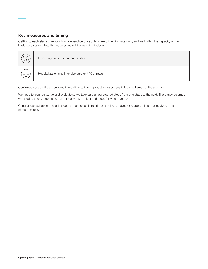## Key measures and timing

Getting to each stage of relaunch will depend on our ability to keep infection rates low, and well within the capacity of the healthcare system. Health measures we will be watching include:

| Percentage of tests that are positive               |
|-----------------------------------------------------|
| Hospitalization and intensive care unit (ICU) rates |

Confirmed cases will be monitored in real-time to inform proactive responses in localized areas of the province.

We need to learn as we go and evaluate as we take careful, considered steps from one stage to the next. There may be times we need to take a step back, but in time, we will adjust and move forward together.

Continuous evaluation of health triggers could result in restrictions being removed or reapplied in some localized areas of the province.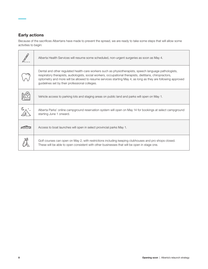## Early actions

Because of the sacrifices Albertans have made to prevent the spread, we are ready to take some steps that will allow some activities to begin:

| Alberta Health Services will resume some scheduled, non-urgent surgeries as soon as May 4.                                                                                                                                                                                                                                                                                            |
|---------------------------------------------------------------------------------------------------------------------------------------------------------------------------------------------------------------------------------------------------------------------------------------------------------------------------------------------------------------------------------------|
| Dental and other regulated health-care workers such as physiotherapists, speech language pathologists,<br>respiratory therapists, audiologists, social workers, occupational therapists, dietitians, chiropractors,<br>optometry and more will be allowed to resume services starting May 4, as long as they are following approved<br>guidelines set by their professional colleges. |
| Vehicle access to parking lots and staging areas on public land and parks will open on May 1.                                                                                                                                                                                                                                                                                         |
| Alberta Parks' online campground reservation system will open on May 14 for bookings at select campground<br>starting June 1 onward.                                                                                                                                                                                                                                                  |
| Access to boat launches will open in select provincial parks May 1.                                                                                                                                                                                                                                                                                                                   |
| Golf courses can open on May 2, with restrictions including keeping clubhouses and pro shops closed.<br>These will be able to open consistent with other businesses that will be open in stage one.                                                                                                                                                                                   |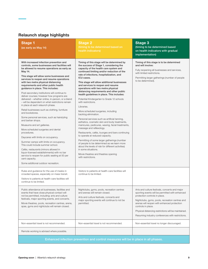## Relaunch stage highlights

| <b>Stage 1</b><br>(as early as May 14)                                                                                                                                                                                                                                                                                                                                                                                                                                                                                                                                                                                                                                                                                                                                                                                                                                                                                                                                                                                                                                                                                                                      | <b>Stage 2</b><br>(timing to be determined based on<br>health indicators)                                                                                                                                                                                                                                                                                                                                                                                                                                                                                                                                                                                                                                                                                                                                                                                                                                                                                                                                                                                                                                                     | <b>Stage 3</b><br>(timing to be determined based<br>on health indicators with gradual<br>implementation)                                                                                                                                                                                                                                                               |  |  |
|-------------------------------------------------------------------------------------------------------------------------------------------------------------------------------------------------------------------------------------------------------------------------------------------------------------------------------------------------------------------------------------------------------------------------------------------------------------------------------------------------------------------------------------------------------------------------------------------------------------------------------------------------------------------------------------------------------------------------------------------------------------------------------------------------------------------------------------------------------------------------------------------------------------------------------------------------------------------------------------------------------------------------------------------------------------------------------------------------------------------------------------------------------------|-------------------------------------------------------------------------------------------------------------------------------------------------------------------------------------------------------------------------------------------------------------------------------------------------------------------------------------------------------------------------------------------------------------------------------------------------------------------------------------------------------------------------------------------------------------------------------------------------------------------------------------------------------------------------------------------------------------------------------------------------------------------------------------------------------------------------------------------------------------------------------------------------------------------------------------------------------------------------------------------------------------------------------------------------------------------------------------------------------------------------------|------------------------------------------------------------------------------------------------------------------------------------------------------------------------------------------------------------------------------------------------------------------------------------------------------------------------------------------------------------------------|--|--|
| With increased infection prevention and<br>controls, some businesses and facilities will<br>be allowed to resume operations as early as<br>May 14.<br>This stage will allow some businesses and<br>services to reopen and resume operations<br>with two metre physical distancing<br>requirements and other public health<br>guidance in place. This includes:<br>Post-secondary institutions will continue to<br>deliver courses; however how programs are<br>delivered - whether online, in-person, or a blend<br>- will be dependent on what restrictions remain<br>in place at each relaunch phase.<br>Retail businesses such as clothing, furniture<br>and bookstores.<br>Some personal services, such as hairstyling<br>and barber shops.<br>Museums and art galleries.<br>More scheduled surgeries and dental<br>procedures.<br>Daycares with limits on occupancy.<br>Summer camps with limits on occupancy.<br>This could include summer school.<br>Cafés, restaurants (minors allowed in<br>liquor-licensed establishments) with no bar<br>service to reopen for public seating at 50 per<br>cent capacity.<br>Some additional outdoor recreation. | Timing of this stage will be determined by<br>the success of Stage 1, considering the<br>capacity of the health care system and<br>continued limiting and/or reduction of the<br>rate of infections, hospitalization, and<br>ICU cases.<br>This stage will allow additional businesses<br>and services to reopen and resume<br>operations with two metre physical<br>distancing requirements and other public<br>health guidelines in place. This includes:<br>Potential Kindergarten to Grade 12 schools<br>with restrictions.<br>Libraries.<br>More scheduled surgeries, including<br>backlog elimination.<br>Personal services such as artificial tanning,<br>esthetics, cosmetic skin and body treatments,<br>manicures, pedicures, waxing, facial treatments,<br>massage and reflexology.<br>Restaurants, cafés, lounges and bars continuing<br>to operate at reduced capacity.<br>Permitting of some larger gatherings (number<br>of people to be determined as we learn more<br>about the levels of risk for different activities)<br>in some situations.<br>Movie theatres and theatres opening<br>with restrictions. | Timing of this stage is to be determined<br>and will involve:<br>Fully reopening all businesses and services,<br>with limited restrictions.<br>Permitting larger gatherings (number of people<br>to be determined).                                                                                                                                                    |  |  |
| Rules and guidance for the use of masks in<br>crowded spaces, especially on mass transit.<br>Visitors to patients at health-care facilities will<br>continue to be limited.                                                                                                                                                                                                                                                                                                                                                                                                                                                                                                                                                                                                                                                                                                                                                                                                                                                                                                                                                                                 | Visitors to patients at health-care facilities will<br>continue to be limited.                                                                                                                                                                                                                                                                                                                                                                                                                                                                                                                                                                                                                                                                                                                                                                                                                                                                                                                                                                                                                                                |                                                                                                                                                                                                                                                                                                                                                                        |  |  |
| Public attendance at businesses, facilities and<br>events that have close physical contact will<br>not be permitted, including: arts and culture<br>festivals, major sporting events, and concerts.<br>Movie theatres, pools, recreation centres, arena,<br>spas, gyms and nightclubs will remain closed.                                                                                                                                                                                                                                                                                                                                                                                                                                                                                                                                                                                                                                                                                                                                                                                                                                                   | Nightclubs, gyms, pools, recreation centres<br>and arenas will remain closed.<br>Arts and culture festivals, concerts and<br>major sporting events will continue to not be<br>permitted.                                                                                                                                                                                                                                                                                                                                                                                                                                                                                                                                                                                                                                                                                                                                                                                                                                                                                                                                      | Arts and culture festivals, concerts and major<br>sporting events will be permitted with enhanced<br>protection controls in place.<br>Nightclubs, gyms, pools, recreation centres and<br>arenas will reopen with enhanced protection<br>controls in place.<br>Physical distancing restrictions will be maintained.<br>Resuming industry conferences with restrictions. |  |  |
| Non-essential travel is not recommended.                                                                                                                                                                                                                                                                                                                                                                                                                                                                                                                                                                                                                                                                                                                                                                                                                                                                                                                                                                                                                                                                                                                    | Non-essential travel is not recommended.                                                                                                                                                                                                                                                                                                                                                                                                                                                                                                                                                                                                                                                                                                                                                                                                                                                                                                                                                                                                                                                                                      | Non-essential travel no longer discouraged.                                                                                                                                                                                                                                                                                                                            |  |  |
| Remote working is advised where possible.                                                                                                                                                                                                                                                                                                                                                                                                                                                                                                                                                                                                                                                                                                                                                                                                                                                                                                                                                                                                                                                                                                                   |                                                                                                                                                                                                                                                                                                                                                                                                                                                                                                                                                                                                                                                                                                                                                                                                                                                                                                                                                                                                                                                                                                                               |                                                                                                                                                                                                                                                                                                                                                                        |  |  |
| Enhanced infection prevention and control measures will be in place in all phases.                                                                                                                                                                                                                                                                                                                                                                                                                                                                                                                                                                                                                                                                                                                                                                                                                                                                                                                                                                                                                                                                          |                                                                                                                                                                                                                                                                                                                                                                                                                                                                                                                                                                                                                                                                                                                                                                                                                                                                                                                                                                                                                                                                                                                               |                                                                                                                                                                                                                                                                                                                                                                        |  |  |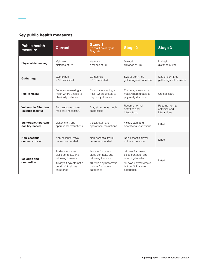## Key public health measures

| <b>Public health</b><br>measure                   | <b>Current</b>                                                                                                                  | <b>Stage 1</b><br>(to start as early as<br><b>May 14)</b>                                                                       | <b>Stage 2</b>                                                                                                                  | <b>Stage 3</b>                                  |
|---------------------------------------------------|---------------------------------------------------------------------------------------------------------------------------------|---------------------------------------------------------------------------------------------------------------------------------|---------------------------------------------------------------------------------------------------------------------------------|-------------------------------------------------|
| <b>Physical distancing</b>                        | Maintain                                                                                                                        | Maintain                                                                                                                        | Maintain                                                                                                                        | Maintain                                        |
|                                                   | distance of 2m                                                                                                                  | distance of 2m                                                                                                                  | distance of 2m                                                                                                                  | distance of 2m                                  |
| Gatherings                                        | Gatherings                                                                                                                      | Gatherings                                                                                                                      | Size of permitted                                                                                                               | Size of permitted                               |
|                                                   | > 15 prohibited                                                                                                                 | > 15 prohibited                                                                                                                 | gatherings will increase                                                                                                        | gatherings will increase                        |
| <b>Public masks</b>                               | Encourage wearing a<br>mask where unable to<br>physically distance                                                              | Encourage wearing a<br>mask where unable to<br>physically distance                                                              | Encourage wearing a<br>mask where unable to<br>physically distance                                                              | Unnecessary                                     |
| <b>Vulnerable Albertans</b><br>(outside facility) | Remain home unless<br>medically necessary                                                                                       | Stay at home as much<br>as possible                                                                                             | Resume normal<br>activities and<br>interactions                                                                                 | Resume normal<br>activities and<br>interactions |
| <b>Vulnerable Albertans</b>                       | Visitor, staff, and                                                                                                             | Visitor, staff, and                                                                                                             | Visitor, staff, and                                                                                                             | Lifted                                          |
| (facility-based)                                  | operational restrictions                                                                                                        | operational restrictions                                                                                                        | operational restrictions                                                                                                        |                                                 |
| Non-essential                                     | Non-essential travel                                                                                                            | Non-essential travel                                                                                                            | Non-essential travel                                                                                                            | Lifted                                          |
| domestic travel                                   | not recommended                                                                                                                 | not recommended                                                                                                                 | not recommended                                                                                                                 |                                                 |
| <b>Isolation and</b><br>quarantine                | 14 days for cases.<br>close contacts, and<br>returning travelers<br>10 days if symptomatic<br>but don't fit above<br>categories | 14 days for cases,<br>close contacts, and<br>returning travelers<br>10 days if symptomatic<br>but don't fit above<br>categories | 14 days for cases,<br>close contacts, and<br>returning travelers<br>10 days if symptomatic<br>but don't fit above<br>categories | Lifted                                          |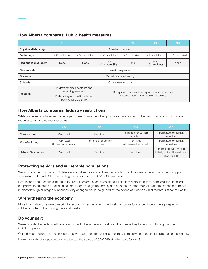#### How Alberta compares: Public health measures

|                            | AB                                                        | <b>BC</b>                                             | <b>SK</b>                                            | <b>ON</b>        | OC                             | <b>NB</b>       |
|----------------------------|-----------------------------------------------------------|-------------------------------------------------------|------------------------------------------------------|------------------|--------------------------------|-----------------|
| <b>Physical distancing</b> | 2 meter distancing                                        |                                                       |                                                      |                  |                                |                 |
| Gatherings                 | > 15 prohibited                                           | > 50 prohibited                                       | > 10 prohibited                                      | $> 5$ prohibited | All prohibited                 | > 10 prohibited |
| Regions locked down        | None                                                      | None                                                  | <b>Yes</b><br>(Northern SK)                          | None             | <b>Yes</b><br>$(10 +$ regions) | None            |
| <b>Restaurants</b>         | Dine-in suspended                                         |                                                       |                                                      |                  |                                |                 |
| <b>Business</b>            | Virtual, or curbside only                                 |                                                       |                                                      |                  |                                |                 |
| Schools                    | Online learning only                                      |                                                       |                                                      |                  |                                |                 |
| <b>Isolation</b>           |                                                           | 14 days for close contacts and<br>returning travelers | 14 days for positive cases, symptomatic individuals, |                  |                                |                 |
|                            | 10 days if symptomatic or tested<br>positive for COVID-19 |                                                       | close contacts, and returning travelers              |                  |                                |                 |

#### How Alberta compares: Industry restrictions

While some sectors have reamained open in each province, other provinces have placed further restrictions on construction, manufacturing and natural resources.

|                          | <b>AB</b>                         | <b>BC</b>                           | ΟN                                  | QC                                                                          |
|--------------------------|-----------------------------------|-------------------------------------|-------------------------------------|-----------------------------------------------------------------------------|
| Construction             | Permitted                         | Permitted                           | Permitted for certain<br>industries | Permitted for certain<br><i>industries</i>                                  |
| Manufacturing            | Permitted<br>All deemed essential | Permitted for certain<br>industries | Permitted<br>All deemed essential   | Permitted for certain<br>industries                                         |
| <b>Natural Resources</b> | Permitted                         | Permitted                           | Permitted                           | Permitted, with Mining<br>initially limited then allowed<br>after April 15. |

## Protecting seniors and vulnerable populations

We will continue to put a ring of defence around seniors and vulnerable populations. This means we will continue to support vulnerable and at-risk Albertans feeling the impacts of the COVID-19 pandemic.

Restrictions and measures intended to protect seniors, such as continued limits to visitors (long-term care facilities, licensed supportive living facilities including seniors lodges and group homes) and strict health protocols for staff are expected to remain in place through all stages of relaunch. Any changes would be guided by the advice of Alberta's Chief Medical Officer of Health.

## Strengthening the economy

More information on a new blueprint for economic recovery, which will set the course for our province's future prosperity, will be provided in the coming days and weeks.

## Do your part

We're confident Albertans will face relaunch with the same adaptability and resilience they have shown throughout the COVID-19 pandemic.

Our individual actions are the strongest tool we have to protect our health-care system as we pull together to relaunch our economy.

Learn more about steps you can take to stop the spread of COVID19 at: alberta.ca/covid19